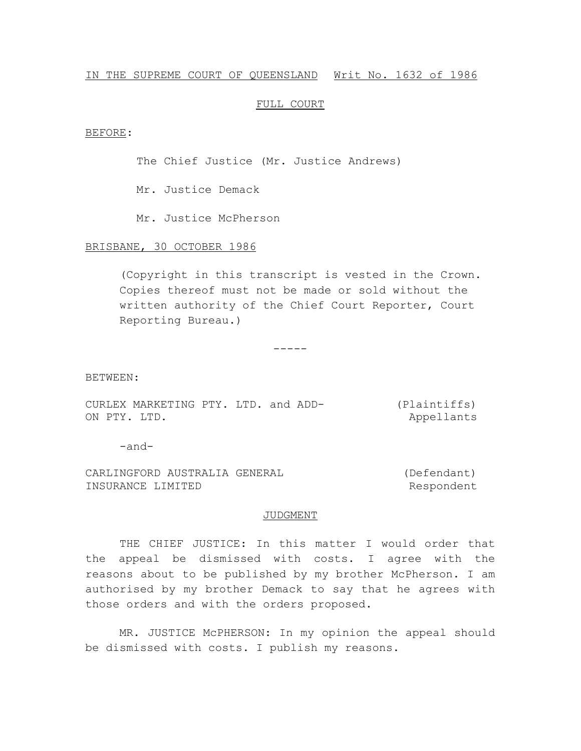### IN THE SUPREME COURT OF QUEENSLAND Writ No. 1632 of 1986

## FULL COURT

#### BEFORE:

The Chief Justice (Mr. Justice Andrews)

Mr. Justice Demack

Mr. Justice McPherson

# BRISBANE, 30 OCTOBER 1986

(Copyright in this transcript is vested in the Crown. Copies thereof must not be made or sold without the written authority of the Chief Court Reporter, Court Reporting Bureau.)

-----

#### BETWEEN:

|              | CURLEX MARKETING PTY. LTD. and ADD- |  |  | (Plaintiffs) |
|--------------|-------------------------------------|--|--|--------------|
| ON PTY. LTD. |                                     |  |  | Appellants   |

-and-

CARLINGFORD AUSTRALIA GENERAL INSURANCE LIMITED (Defendant) Respondent

#### JUDGMENT

THE CHIEF JUSTICE: In this matter I would order that the appeal be dismissed with costs. I agree with the reasons about to be published by my brother McPherson. I am authorised by my brother Demack to say that he agrees with those orders and with the orders proposed.

MR. JUSTICE McPHERSON: In my opinion the appeal should be dismissed with costs. I publish my reasons.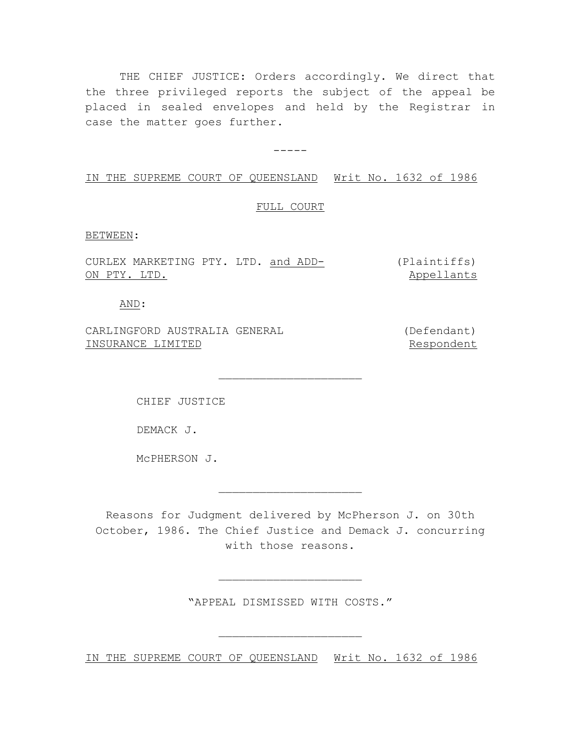THE CHIEF JUSTICE: Orders accordingly. We direct that the three privileged reports the subject of the appeal be placed in sealed envelopes and held by the Registrar in case the matter goes further.

-----

IN THE SUPREME COURT OF QUEENSLAND Writ No. 1632 of 1986

### FULL COURT

#### BETWEEN:

CURLEX MARKETING PTY. LTD. <u>and ADD-</u> (Plaintiffs) ON PTY. LTD. Appellants

AND:

CARLINGFORD AUSTRALIA GENERAL INSURANCE LIMITED

(Defendant) Respondent

CHIEF JUSTICE

DEMACK J.

McPHERSON J.

Reasons for Judgment delivered by McPherson J. on 30th October, 1986. The Chief Justice and Demack J. concurring with those reasons.

 $\overline{\phantom{a}}$  , where  $\overline{\phantom{a}}$  , where  $\overline{\phantom{a}}$  , where  $\overline{\phantom{a}}$ 

 $\overline{\phantom{a}}$  , where  $\overline{\phantom{a}}$  , where  $\overline{\phantom{a}}$  , where  $\overline{\phantom{a}}$ 

"APPEAL DISMISSED WITH COSTS."

 $\overline{\phantom{a}}$  , where  $\overline{\phantom{a}}$  , where  $\overline{\phantom{a}}$  , where  $\overline{\phantom{a}}$ 

 $\overline{\phantom{a}}$  , where  $\overline{\phantom{a}}$  , where  $\overline{\phantom{a}}$  , where  $\overline{\phantom{a}}$ 

IN THE SUPREME COURT OF QUEENSLAND Writ No. 1632 of 1986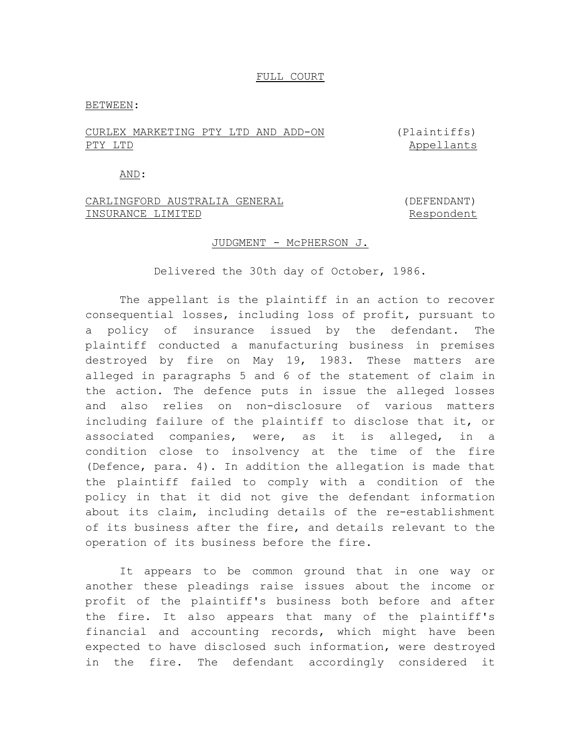#### FULL COURT

#### BETWEEN:

## CURLEX MARKETING PTY LTD AND ADD-ON PTY LTD

(Plaintiffs) Appellants

AND:

## CARLINGFORD AUSTRALIA GENERAL INSURANCE LIMITED

(DEFENDANT) Respondent

#### JUDGMENT - MCPHERSON J.

Delivered the 30th day of October, 1986.

The appellant is the plaintiff in an action to recover consequential losses, including loss of profit, pursuant to a policy of insurance issued by the defendant. The plaintiff conducted a manufacturing business in premises destroyed by fire on May 19, 1983. These matters are alleged in paragraphs 5 and 6 of the statement of claim in the action. The defence puts in issue the alleged losses and also relies on non-disclosure of various matters including failure of the plaintiff to disclose that it, or associated companies, were, as it is alleged, in a condition close to insolvency at the time of the fire (Defence, para. 4). In addition the allegation is made that the plaintiff failed to comply with a condition of the policy in that it did not give the defendant information about its claim, including details of the re-establishment of its business after the fire, and details relevant to the operation of its business before the fire.

It appears to be common ground that in one way or another these pleadings raise issues about the income or profit of the plaintiff's business both before and after the fire. It also appears that many of the plaintiff's financial and accounting records, which might have been expected to have disclosed such information, were destroyed in the fire. The defendant accordingly considered it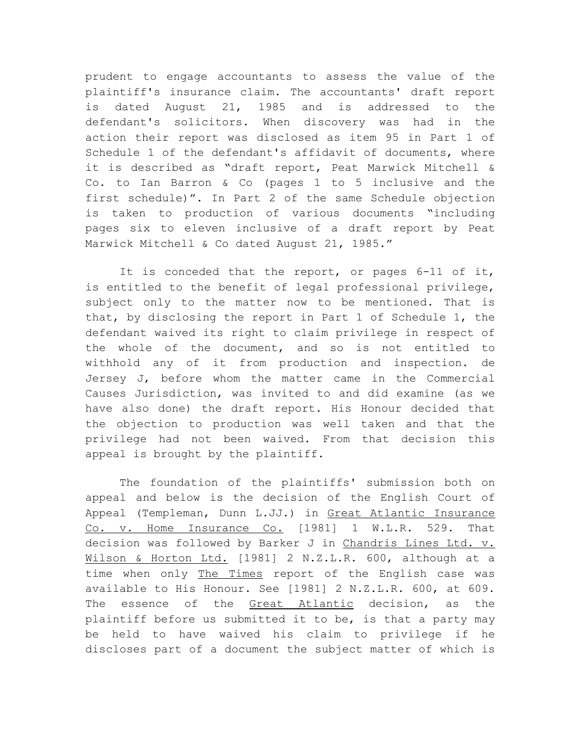prudent to engage accountants to assess the value of the plaintiff's insurance claim. The accountants' draft report is dated August 21, 1985 and is addressed to the defendant's solicitors. When discovery was had in the action their report was disclosed as item 95 in Part 1 of Schedule 1 of the defendant's affidavit of documents, where it is described as "draft report, Peat Marwick Mitchell & Co. to Ian Barron & Co (pages 1 to 5 inclusive and the first schedule)". In Part 2 of the same Schedule objection is taken to production of various documents "including pages six to eleven inclusive of a draft report by Peat Marwick Mitchell & Co dated August 21, 1985."

It is conceded that the report, or pages 6-11 of it, is entitled to the benefit of legal professional privilege, subject only to the matter now to be mentioned. That is that, by disclosing the report in Part 1 of Schedule 1, the defendant waived its right to claim privilege in respect of the whole of the document, and so is not entitled to withhold any of it from production and inspection. de Jersey J, before whom the matter came in the Commercial Causes Jurisdiction, was invited to and did examine (as we have also done) the draft report. His Honour decided that the objection to production was well taken and that the privilege had not been waived. From that decision this appeal is brought by the plaintiff.

The foundation of the plaintiffs' submission both on appeal and below is the decision of the English Court of Appeal (Templeman, Dunn L.JJ.) in Great Atlantic Insurance Co. v. Home Insurance Co. [1981] 1 W.L.R. 529. That decision was followed by Barker J in Chandris Lines Ltd. v. Wilson & Horton Ltd. [1981] 2 N.Z.L.R. 600, although at a time when only The Times report of the English case was available to His Honour. See [1981] 2 N.Z.L.R. 600, at 609. The essence of the Great Atlantic decision, as the plaintiff before us submitted it to be, is that a party may be held to have waived his claim to privilege if he discloses part of a document the subject matter of which is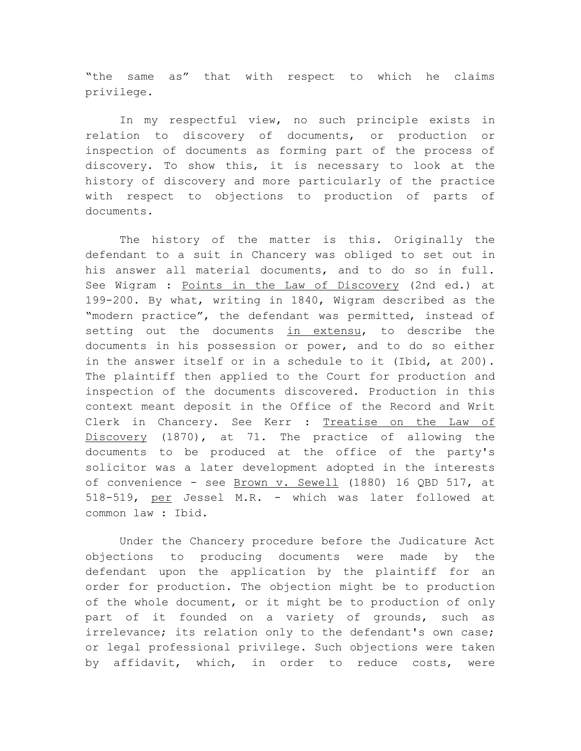"the same as" that with respect to which he claims privilege.

In my respectful view, no such principle exists in relation to discovery of documents, or production or inspection of documents as forming part of the process of discovery. To show this, it is necessary to look at the history of discovery and more particularly of the practice with respect to objections to production of parts of documents.

The history of the matter is this. Originally the defendant to a suit in Chancery was obliged to set out in his answer all material documents, and to do so in full. See Wigram : Points in the Law of Discovery (2nd ed.) at 199-200. By what, writing in 1840, Wigram described as the "modern practice", the defendant was permitted, instead of setting out the documents in extensu, to describe the documents in his possession or power, and to do so either in the answer itself or in a schedule to it (Ibid, at 200). The plaintiff then applied to the Court for production and inspection of the documents discovered. Production in this context meant deposit in the Office of the Record and Writ Clerk in Chancery. See Kerr : Treatise on the Law of Discovery (1870), at 71. The practice of allowing the documents to be produced at the office of the party's solicitor was a later development adopted in the interests of convenience - see Brown v. Sewell (1880) 16 QBD 517, at 518-519, per Jessel M.R. - which was later followed at common law : Ibid.

Under the Chancery procedure before the Judicature Act objections to producing documents were made by the defendant upon the application by the plaintiff for an order for production. The objection might be to production of the whole document, or it might be to production of only part of it founded on a variety of grounds, such as irrelevance; its relation only to the defendant's own case; or legal professional privilege. Such objections were taken by affidavit, which, in order to reduce costs, were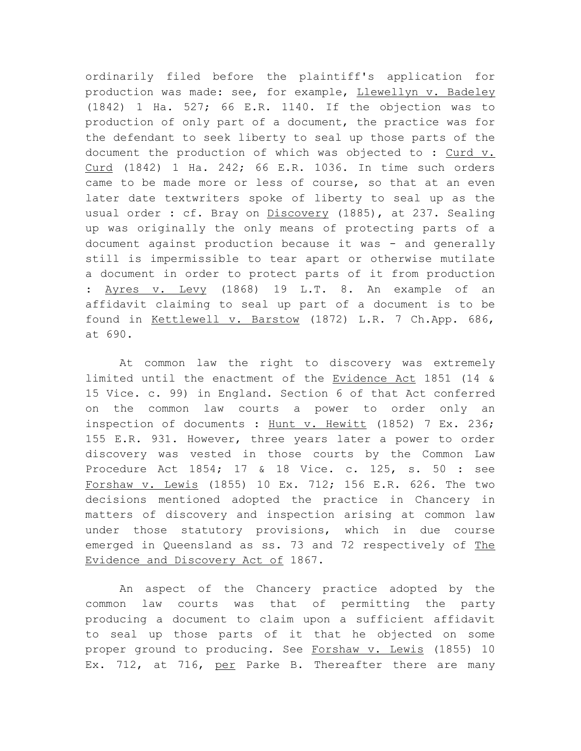ordinarily filed before the plaintiff's application for production was made: see, for example, Llewellyn v. Badeley (1842) 1 Ha. 527; 66 E.R. 1140. If the objection was to production of only part of a document, the practice was for the defendant to seek liberty to seal up those parts of the document the production of which was objected to : Curd v. Curd (1842) 1 Ha. 242; 66 E.R. 1036. In time such orders came to be made more or less of course, so that at an even later date textwriters spoke of liberty to seal up as the usual order : cf. Bray on Discovery (1885), at 237. Sealing up was originally the only means of protecting parts of a document against production because it was - and generally still is impermissible to tear apart or otherwise mutilate a document in order to protect parts of it from production : Ayres v. Levy (1868) 19 L.T. 8. An example of an affidavit claiming to seal up part of a document is to be found in Kettlewell v. Barstow (1872) L.R. 7 Ch.App. 686, at 690.

At common law the right to discovery was extremely limited until the enactment of the Evidence Act 1851 (14 & 15 Vice. c. 99) in England. Section 6 of that Act conferred on the common law courts a power to order only an inspection of documents : Hunt v. Hewitt (1852) 7 Ex. 236; 155 E.R. 931. However, three years later a power to order discovery was vested in those courts by the Common Law Procedure Act 1854; 17 & 18 Vice. c. 125, s. 50 : see Forshaw v. Lewis (1855) 10 Ex. 712; 156 E.R. 626. The two decisions mentioned adopted the practice in Chancery in matters of discovery and inspection arising at common law under those statutory provisions, which in due course emerged in Queensland as ss. 73 and 72 respectively of The Evidence and Discovery Act of 1867.

An aspect of the Chancery practice adopted by the common law courts was that of permitting the party producing a document to claim upon a sufficient affidavit to seal up those parts of it that he objected on some proper ground to producing. See Forshaw v. Lewis (1855) 10 Ex. 712, at 716, per Parke B. Thereafter there are many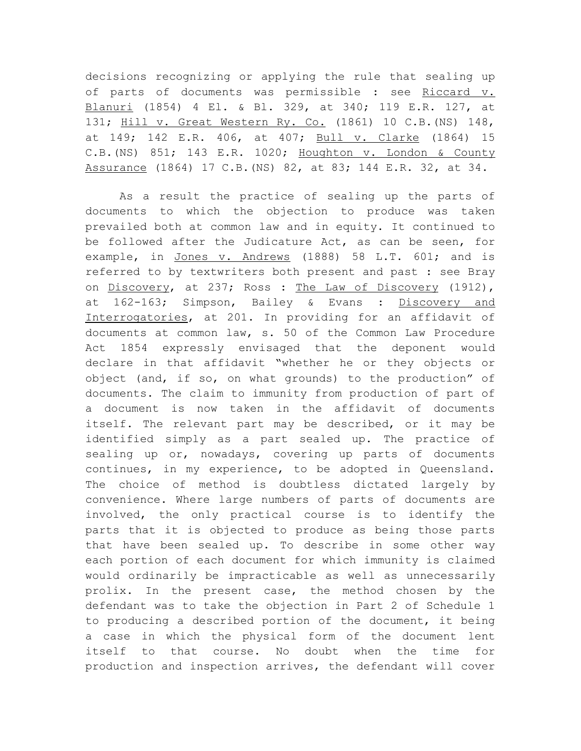decisions recognizing or applying the rule that sealing up of parts of documents was permissible : see Riccard v. Blanuri (1854) 4 El. & Bl. 329, at 340; 119 E.R. 127, at 131; Hill v. Great Western Ry. Co. (1861) 10 C.B.(NS) 148, at 149; 142 E.R. 406, at 407; Bull v. Clarke (1864) 15 C.B.(NS) 851; 143 E.R. 1020; Houghton v. London & County Assurance (1864) 17 C.B.(NS) 82, at 83; 144 E.R. 32, at 34.

As a result the practice of sealing up the parts of documents to which the objection to produce was taken prevailed both at common law and in equity. It continued to be followed after the Judicature Act, as can be seen, for example, in Jones v. Andrews (1888) 58 L.T. 601; and is referred to by textwriters both present and past : see Bray on Discovery, at 237; Ross : The Law of Discovery (1912), at 162-163; Simpson, Bailey & Evans : Discovery and Interrogatories, at 201. In providing for an affidavit of documents at common law, s. 50 of the Common Law Procedure Act 1854 expressly envisaged that the deponent would declare in that affidavit "whether he or they objects or object (and, if so, on what grounds) to the production" of documents. The claim to immunity from production of part of a document is now taken in the affidavit of documents itself. The relevant part may be described, or it may be identified simply as a part sealed up. The practice of sealing up or, nowadays, covering up parts of documents continues, in my experience, to be adopted in Queensland. The choice of method is doubtless dictated largely by convenience. Where large numbers of parts of documents are involved, the only practical course is to identify the parts that it is objected to produce as being those parts that have been sealed up. To describe in some other way each portion of each document for which immunity is claimed would ordinarily be impracticable as well as unnecessarily prolix. In the present case, the method chosen by the defendant was to take the objection in Part 2 of Schedule 1 to producing a described portion of the document, it being a case in which the physical form of the document lent itself to that course. No doubt when the time for production and inspection arrives, the defendant will cover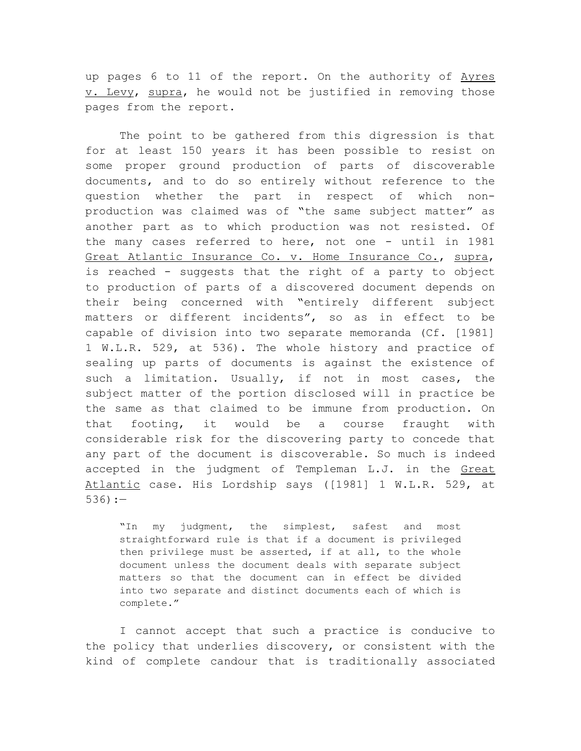up pages 6 to 11 of the report. On the authority of Ayres v. Levy, supra, he would not be justified in removing those pages from the report.

The point to be gathered from this digression is that for at least 150 years it has been possible to resist on some proper ground production of parts of discoverable documents, and to do so entirely without reference to the question whether the part in respect of which nonproduction was claimed was of "the same subject matter" as another part as to which production was not resisted. Of the many cases referred to here, not one - until in 1981 Great Atlantic Insurance Co. v. Home Insurance Co., supra, is reached - suggests that the right of a party to object to production of parts of a discovered document depends on their being concerned with "entirely different subject matters or different incidents", so as in effect to be capable of division into two separate memoranda (Cf. [1981] 1 W.L.R. 529, at 536). The whole history and practice of sealing up parts of documents is against the existence of such a limitation. Usually, if not in most cases, the subject matter of the portion disclosed will in practice be the same as that claimed to be immune from production. On that footing, it would be a course fraught with considerable risk for the discovering party to concede that any part of the document is discoverable. So much is indeed accepted in the judgment of Templeman L.J. in the Great Atlantic case. His Lordship says ([1981] 1 W.L.R. 529, at  $536$ ) :-

"In my judgment, the simplest, safest and most straightforward rule is that if a document is privileged then privilege must be asserted, if at all, to the whole document unless the document deals with separate subject matters so that the document can in effect be divided into two separate and distinct documents each of which is complete."

I cannot accept that such a practice is conducive to the policy that underlies discovery, or consistent with the kind of complete candour that is traditionally associated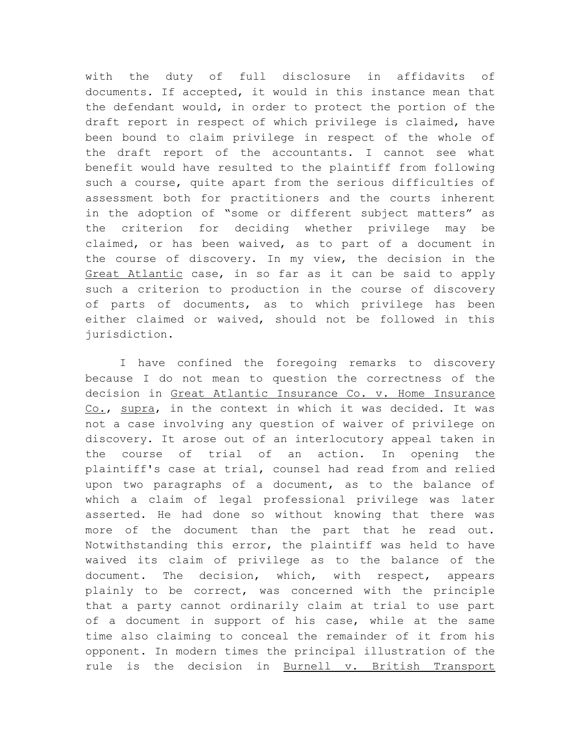with the duty of full disclosure in affidavits of documents. If accepted, it would in this instance mean that the defendant would, in order to protect the portion of the draft report in respect of which privilege is claimed, have been bound to claim privilege in respect of the whole of the draft report of the accountants. I cannot see what benefit would have resulted to the plaintiff from following such a course, quite apart from the serious difficulties of assessment both for practitioners and the courts inherent in the adoption of "some or different subject matters" as the criterion for deciding whether privilege may be claimed, or has been waived, as to part of a document in the course of discovery. In my view, the decision in the Great Atlantic case, in so far as it can be said to apply such a criterion to production in the course of discovery of parts of documents, as to which privilege has been either claimed or waived, should not be followed in this jurisdiction.

I have confined the foregoing remarks to discovery because I do not mean to question the correctness of the decision in Great Atlantic Insurance Co. v. Home Insurance Co., supra, in the context in which it was decided. It was not a case involving any question of waiver of privilege on discovery. It arose out of an interlocutory appeal taken in the course of trial of an action. In opening the plaintiff's case at trial, counsel had read from and relied upon two paragraphs of a document, as to the balance of which a claim of legal professional privilege was later asserted. He had done so without knowing that there was more of the document than the part that he read out. Notwithstanding this error, the plaintiff was held to have waived its claim of privilege as to the balance of the document. The decision, which, with respect, appears plainly to be correct, was concerned with the principle that a party cannot ordinarily claim at trial to use part of a document in support of his case, while at the same time also claiming to conceal the remainder of it from his opponent. In modern times the principal illustration of the rule is the decision in Burnell v. British Transport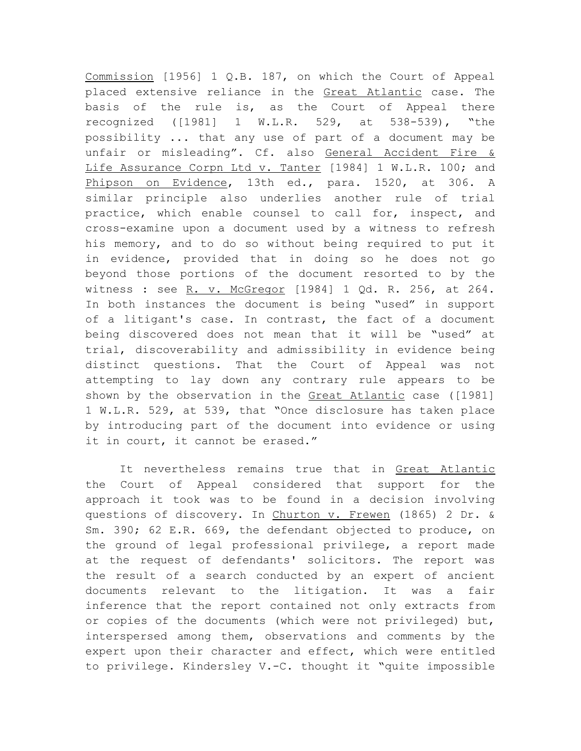Commission [1956] 1 Q.B. 187, on which the Court of Appeal placed extensive reliance in the Great Atlantic case. The basis of the rule is, as the Court of Appeal there recognized ([1981] 1 W.L.R. 529, at 538-539), "the possibility ... that any use of part of a document may be unfair or misleading". Cf. also General Accident Fire & Life Assurance Corpn Ltd v. Tanter [1984] 1 W.L.R. 100; and Phipson on Evidence, 13th ed., para. 1520, at 306. A similar principle also underlies another rule of trial practice, which enable counsel to call for, inspect, and cross-examine upon a document used by a witness to refresh his memory, and to do so without being required to put it in evidence, provided that in doing so he does not go beyond those portions of the document resorted to by the witness : see R. v. McGregor [1984] 1 Qd. R. 256, at 264. In both instances the document is being "used" in support of a litigant's case. In contrast, the fact of a document being discovered does not mean that it will be "used" at trial, discoverability and admissibility in evidence being distinct questions. That the Court of Appeal was not attempting to lay down any contrary rule appears to be shown by the observation in the Great Atlantic case ([1981] 1 W.L.R. 529, at 539, that "Once disclosure has taken place by introducing part of the document into evidence or using it in court, it cannot be erased."

It nevertheless remains true that in Great Atlantic the Court of Appeal considered that support for the approach it took was to be found in a decision involving questions of discovery. In Churton v. Frewen (1865) 2 Dr. & Sm. 390; 62 E.R. 669, the defendant objected to produce, on the ground of legal professional privilege, a report made at the request of defendants' solicitors. The report was the result of a search conducted by an expert of ancient documents relevant to the litigation. It was a fair inference that the report contained not only extracts from or copies of the documents (which were not privileged) but, interspersed among them, observations and comments by the expert upon their character and effect, which were entitled to privilege. Kindersley V.-C. thought it "quite impossible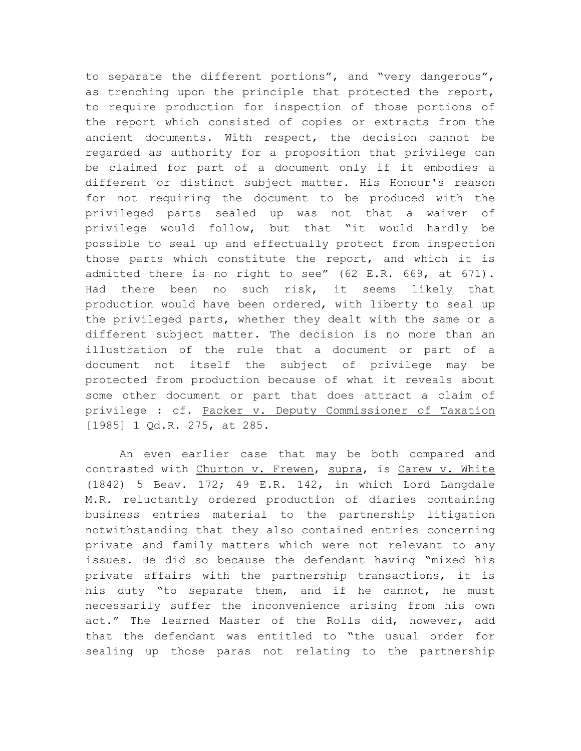to separate the different portions", and "very dangerous", as trenching upon the principle that protected the report, to require production for inspection of those portions of the report which consisted of copies or extracts from the ancient documents. With respect, the decision cannot be regarded as authority for a proposition that privilege can be claimed for part of a document only if it embodies a different or distinct subject matter. His Honour's reason for not requiring the document to be produced with the privileged parts sealed up was not that a waiver of privilege would follow, but that "it would hardly be possible to seal up and effectually protect from inspection those parts which constitute the report, and which it is admitted there is no right to see" (62 E.R. 669, at 671). Had there been no such risk, it seems likely that production would have been ordered, with liberty to seal up the privileged parts, whether they dealt with the same or a different subject matter. The decision is no more than an illustration of the rule that a document or part of a document not itself the subject of privilege may be protected from production because of what it reveals about some other document or part that does attract a claim of privilege : cf. Packer v. Deputy Commissioner of Taxation [1985] 1 Qd.R. 275, at 285.

An even earlier case that may be both compared and contrasted with Churton v. Frewen, supra, is Carew v. White (1842) 5 Beav. 172; 49 E.R. 142, in which Lord Langdale M.R. reluctantly ordered production of diaries containing business entries material to the partnership litigation notwithstanding that they also contained entries concerning private and family matters which were not relevant to any issues. He did so because the defendant having "mixed his private affairs with the partnership transactions, it is his duty "to separate them, and if he cannot, he must necessarily suffer the inconvenience arising from his own act." The learned Master of the Rolls did, however, add that the defendant was entitled to "the usual order for sealing up those paras not relating to the partnership